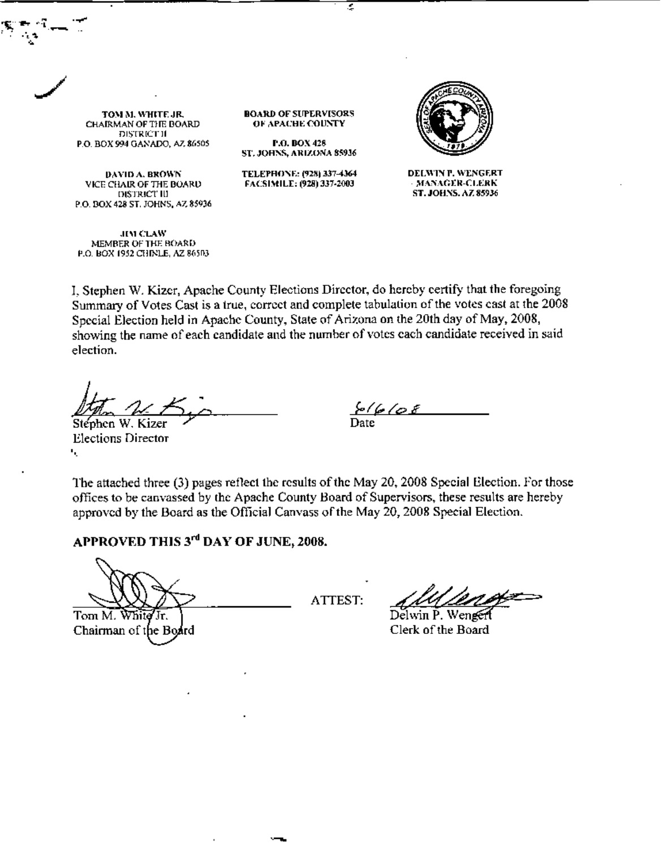TOM M. WHITE JR. CHAIRMAN OF THE BOARD DISTRICT II P.O. BOX 994 GANADO, AZ \$6505

~.\_ <-l~. .~

 $\cdot$  . "

> DAVID A. BROWN VICE CllAlR OF TIlE BOARll DISTRICt' III P.O. BOX 428 ST, JOHNS, AZ 85936

.11" Cu.II' MEMBER OF THE BOARD P.O. BOX 1952 CHINLE, AZ 86503 **BOARD OF SUPERVISORS** OF APACHE COUNTY

,

r.O.DOX42S ST. JOHNS, ARIZONA 85936

TELEPHONE: (928) 337-4364 FACSI\lILL (928)3J7.200J



DELWINT. WENGERT  $MAXAGER-CLERK$ ST. JOHNS. AZ 85936

L Stephen W. Kizer, Apache County Elections Director, do hereby certify that the foregoing Summary of Votes Cast is a true, correct and complete tabulation of the votes cast at the 2008 Special Election held in Apache County, State of Arizona on the 20th day of May, 2008, showing the name of each candidate and the number of votes each candidate received in said election.

 $\frac{1}{100}$  M Kizer

*f.,fc;./o.f* Date

Stéphen W. Kizer Elections Director '.

The attached three (3) pages reflect the results of the May 20, 2008 Special Election. For those offices to be canvassed by (he Apache County Hoard of Supervisors, these results are hereby approved by the Board as the Official Canvass of the May 20, 2008 Special Election.

## APPROVED THIS 3"" DAY OF JUNE, 2008.

Tom M. White Ίr. Chairman of the Board

ATIEST:

*~~h* Dehvin P. Wen Clerk of the Board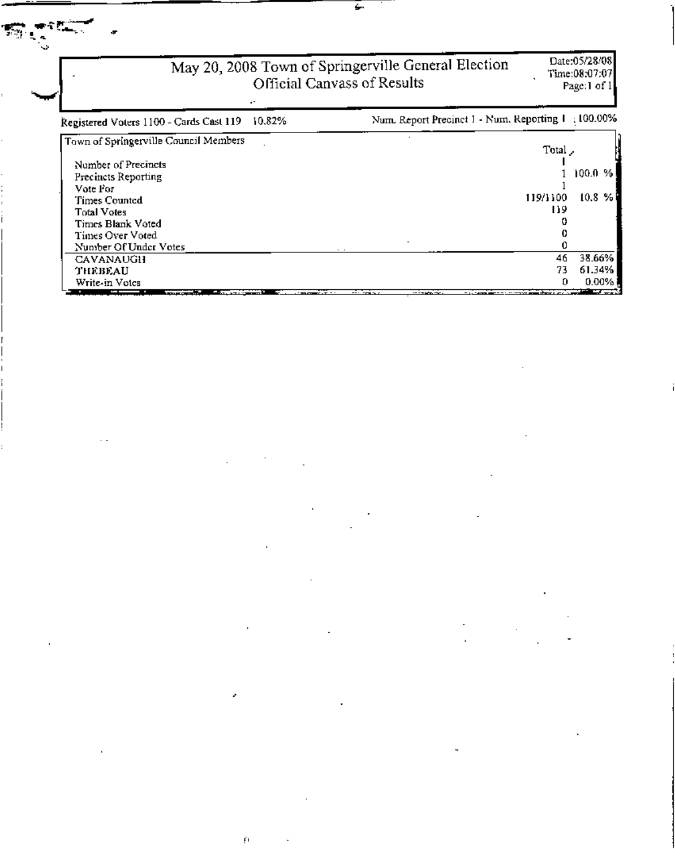## May 20, 2008 Town of Springerville General Election<br>Official Canvass of Results

Ļ.

 $\tilde{\mathbf{f}}$  (

 $\epsilon$ 

## Date:05/28/08 Time:08:07:07<br>Page:1 of 1

| 10.82%<br>Registered Voters 1100 - Cards Cast 119                                                                                                                                                                                                                                 | Num. Report Precinct 1 - Num. Reporting 1 : 100.00%                                                                                |  |
|-----------------------------------------------------------------------------------------------------------------------------------------------------------------------------------------------------------------------------------------------------------------------------------|------------------------------------------------------------------------------------------------------------------------------------|--|
| Town of Springerville Council Members                                                                                                                                                                                                                                             | Total,                                                                                                                             |  |
| Number of Precincts                                                                                                                                                                                                                                                               |                                                                                                                                    |  |
| Precincts Reporting                                                                                                                                                                                                                                                               | $100.0 \, \%$                                                                                                                      |  |
| Vote For                                                                                                                                                                                                                                                                          |                                                                                                                                    |  |
| Times Counted                                                                                                                                                                                                                                                                     | 10.8%<br>119/1100                                                                                                                  |  |
| <b>Total Votes</b>                                                                                                                                                                                                                                                                | 119                                                                                                                                |  |
| Times Blank Voted                                                                                                                                                                                                                                                                 |                                                                                                                                    |  |
| Times Over Voted                                                                                                                                                                                                                                                                  |                                                                                                                                    |  |
| Number Of Under Votes                                                                                                                                                                                                                                                             |                                                                                                                                    |  |
| <b>CAVANAUGH</b>                                                                                                                                                                                                                                                                  | 38.66%<br>46                                                                                                                       |  |
| THEBEAU                                                                                                                                                                                                                                                                           | 61.34%<br>73                                                                                                                       |  |
| Write-in Votes                                                                                                                                                                                                                                                                    | $0.00\%$<br>o                                                                                                                      |  |
| and the contract of the contract of<br><b><i>Contract Contract Contract Contract Contract Contract Contract Contract Contract Contract Contract Contract Contract Contract Contract Contract Contract Contract Contract Contract Contract Contract Contract Contract Cont</i></b> | the company of the company of the company of the company of the company of the company of the company of the company<br>. <i>.</i> |  |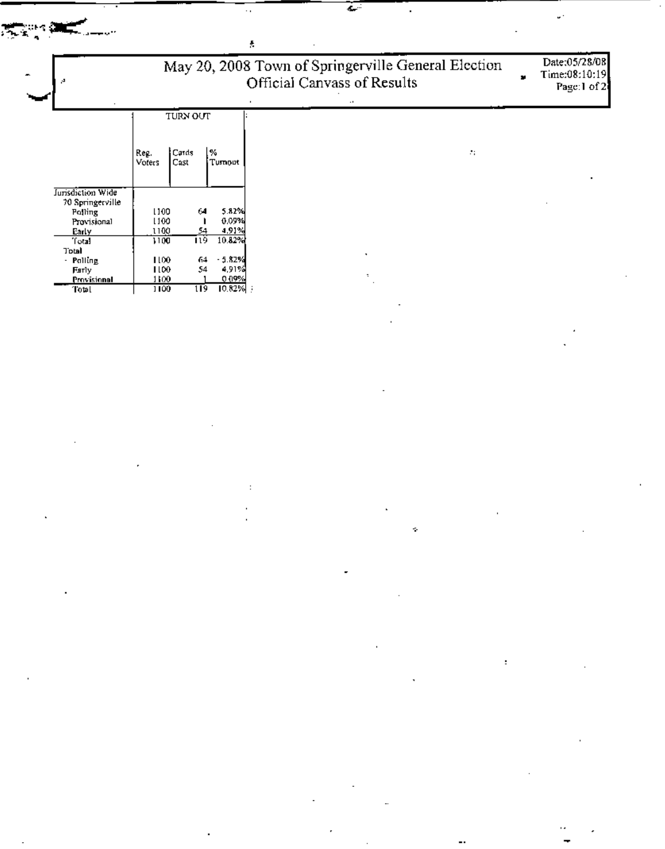| Å,                                    | Date:05/28/08<br>Time:08:10:19<br>Page:1 of 2 |                  |            |         |  |
|---------------------------------------|-----------------------------------------------|------------------|------------|---------|--|
|                                       |                                               | TURN OUT         |            | $\cdot$ |  |
|                                       | Reg.<br>Voters<br>Cast                        | Cards<br>l%.     | Tumout     | ÷.      |  |
| Jurisdiction Wide<br>70 Springerville |                                               |                  |            |         |  |
| Polling                               | 1100                                          | 64               | 5.82%      |         |  |
| Provisional                           | 1100                                          |                  | 0.09%      |         |  |
| Early                                 | 1100                                          | 54               | 4,91%      |         |  |
| Total                                 | 1100                                          | 119.             | 10.82%     |         |  |
| Total                                 |                                               |                  | $-5.82%$   | ٠       |  |
| - Palling                             | 1100<br>1100                                  | -64<br>54        | 4,91%      |         |  |
| Farly<br>Provisional                  | 1100                                          |                  | 0.09%      | ÷       |  |
| Total                                 | 1100                                          | $\overline{119}$ | $10.82%$ } |         |  |

 $\label{eq:2.1} \frac{1}{\sqrt{2\pi}}\int_{\mathbb{R}^3}\frac{1}{\sqrt{2\pi}}\int_{\mathbb{R}^3}\frac{1}{\sqrt{2\pi}}\int_{\mathbb{R}^3}\frac{1}{\sqrt{2\pi}}\int_{\mathbb{R}^3}\frac{1}{\sqrt{2\pi}}\int_{\mathbb{R}^3}\frac{1}{\sqrt{2\pi}}\int_{\mathbb{R}^3}\frac{1}{\sqrt{2\pi}}\int_{\mathbb{R}^3}\frac{1}{\sqrt{2\pi}}\int_{\mathbb{R}^3}\frac{1}{\sqrt{2\pi}}\int_{\mathbb{R}^3}\frac{1$ 

 $\label{eq:2} \frac{1}{\sqrt{2}}\sum_{\mathbf{k}\in\mathbb{Z}^d} \frac{1}{\mathbf{k}}\left(\mathbf{r}^{\mathbf{k}}_{\mathbf{k}}\right)^2.$ 

 $\overline{\phantom{a}}$ 

W,

**REAL** 

T.

 $\frac{d\mathbf{r}}{d\mathbf{r}}$  ,  $\mathbf{r}$ 

 $\Delta \phi = 0.01$